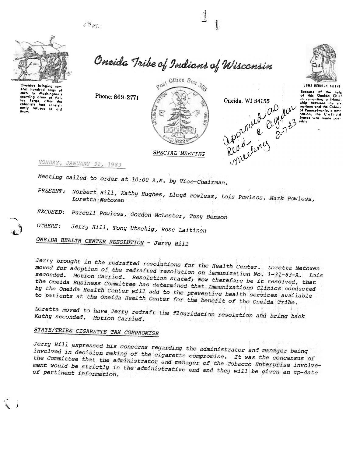$\mathcal{L}^{\mathcal{A}}$ 



Onaidas bringing sav eral hundred bags of ley Forge, a winnists had consist-<br>ently refused to ald<br>them. Oneida Tribe of Indians of Wisconsin







UGWA DENOLUN YATENE

Because of the help this Oneida Chief comenting a friend. ship between the ante between the six<br>notions and the Colony<br>of Pennsylvania, a new<br>notion, the United<br>States was made pos-<br>sible.

Phone: 869-2771



MONDAY, JANUARY 31, 1983

Meeting called to order at 10:00 A.M. by Vice-Chairman.

PRESENT: Norbert Hill, Kathy Hughes, Lloyd Powless, Lois Powless, Mark Powless,

EXCUSED: Purcell Powless, Gordon McLester, Tony Benson

OTHERS: Jerry Hill, Tony Utschig, Rose Laitinen

ONEIDA HEALTH CENTER RESOLUTION - Jerry Hill

Jerry brought in the redrafted resolutions for the Health Center. Loretta Metoxen moved for adoption of the redrafted resolution on immunization No. 1-31-83-A. Lois seconded. Motion Carried. Resolution stated; Now therefore be it resolved, that the Oneida Business Committee has determined that Immunizations Clinics conducted by the Oneida Health Center will add to the preventive health services available to patients at the Oneida Health Center for the benefit of the Oneida Tribe.

Loretta moved to have Jerry redraft the flouridation resolution and bring back. Kathy seconded. Motion Carried.

## STATE/TRIBE CIGARETTE TAX COMPROMISE

Jerry Hill expressed his concerns regarding the administrator and manager being involved in decision making of the cigarette compromise. It was the concensus of the Committee that the administrator and manager of the Tobacco Enterprise involvement would be strictly in the administrative end and they will be given an up-date of pertinent information.